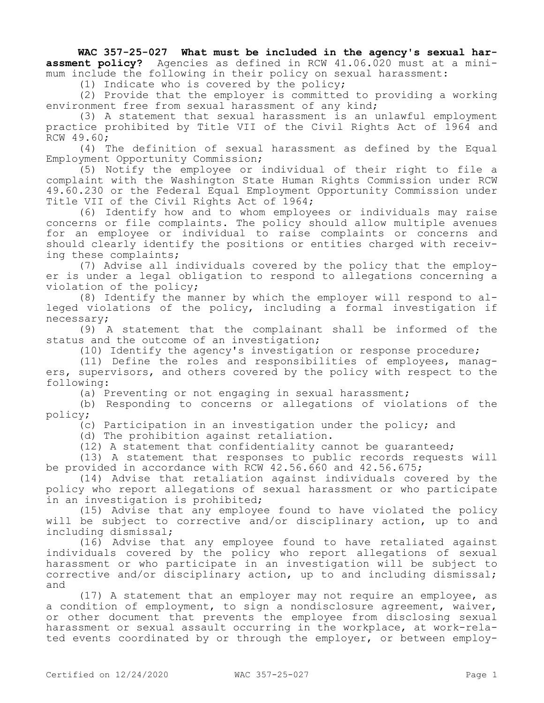**WAC 357-25-027 What must be included in the agency's sexual harassment policy?** Agencies as defined in RCW 41.06.020 must at a minimum include the following in their policy on sexual harassment:

(1) Indicate who is covered by the policy;

(2) Provide that the employer is committed to providing a working environment free from sexual harassment of any kind;

(3) A statement that sexual harassment is an unlawful employment practice prohibited by Title VII of the Civil Rights Act of 1964 and RCW 49.60;

(4) The definition of sexual harassment as defined by the Equal Employment Opportunity Commission;

(5) Notify the employee or individual of their right to file a complaint with the Washington State Human Rights Commission under RCW 49.60.230 or the Federal Equal Employment Opportunity Commission under Title VII of the Civil Rights Act of 1964;

(6) Identify how and to whom employees or individuals may raise concerns or file complaints. The policy should allow multiple avenues for an employee or individual to raise complaints or concerns and should clearly identify the positions or entities charged with receiving these complaints;

(7) Advise all individuals covered by the policy that the employer is under a legal obligation to respond to allegations concerning a violation of the policy;

(8) Identify the manner by which the employer will respond to alleged violations of the policy, including a formal investigation if necessary;

(9) A statement that the complainant shall be informed of the status and the outcome of an investigation;

(10) Identify the agency's investigation or response procedure;

(11) Define the roles and responsibilities of employees, managers, supervisors, and others covered by the policy with respect to the following:

(a) Preventing or not engaging in sexual harassment;

(b) Responding to concerns or allegations of violations of the policy;

 $(c)$  Participation in an investigation under the policy; and

(d) The prohibition against retaliation.

(12) A statement that confidentiality cannot be guaranteed;

(13) A statement that responses to public records requests will be provided in accordance with RCW 42.56.660 and 42.56.675;

(14) Advise that retaliation against individuals covered by the policy who report allegations of sexual harassment or who participate in an investigation is prohibited;

(15) Advise that any employee found to have violated the policy will be subject to corrective and/or disciplinary action, up to and including dismissal;

(16) Advise that any employee found to have retaliated against individuals covered by the policy who report allegations of sexual harassment or who participate in an investigation will be subject to corrective and/or disciplinary action, up to and including dismissal; and

(17) A statement that an employer may not require an employee, as a condition of employment, to sign a nondisclosure agreement, waiver, or other document that prevents the employee from disclosing sexual harassment or sexual assault occurring in the workplace, at work-related events coordinated by or through the employer, or between employ